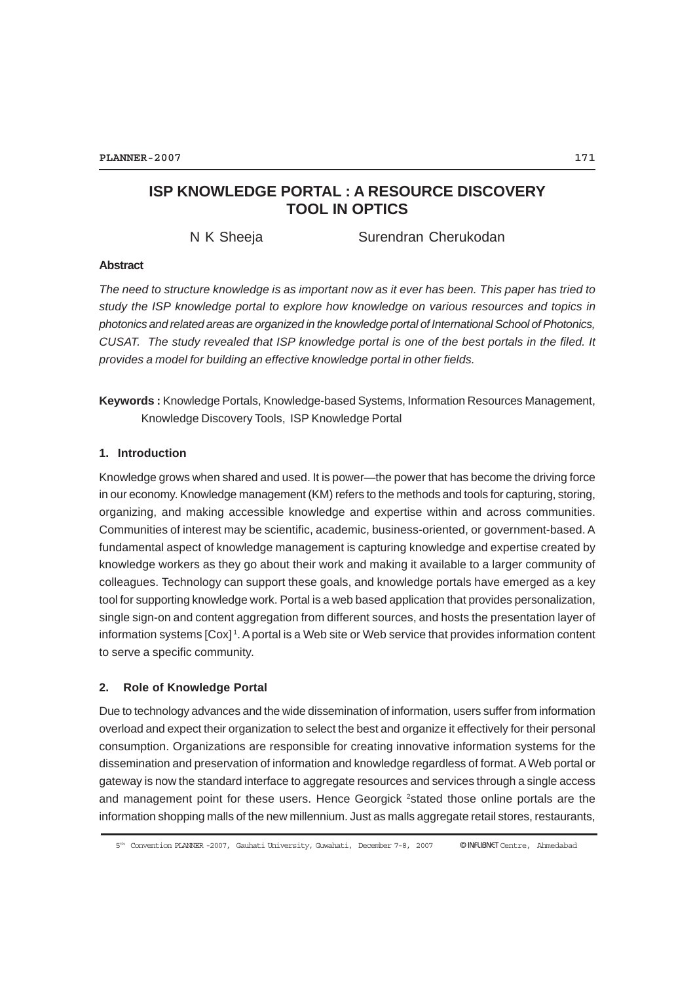# **ISP KNOWLEDGE PORTAL : A RESOURCE DISCOVERY TOOL IN OPTICS**

N K Sheeja Surendran Cherukodan

#### **Abstract**

*The need to structure knowledge is as important now as it ever has been. This paper has tried to study the ISP knowledge portal to explore how knowledge on various resources and topics in photonics and related areas are organized in the knowledge portal of International School of Photonics, CUSAT. The study revealed that ISP knowledge portal is one of the best portals in the filed. It provides a model for building an effective knowledge portal in other fields.*

**Keywords :** Knowledge Portals, Knowledge-based Systems, Information Resources Management, Knowledge Discovery Tools, ISP Knowledge Portal

### **1. Introduction**

Knowledge grows when shared and used. It is power—the power that has become the driving force in our economy. Knowledge management (KM) refers to the methods and tools for capturing, storing, organizing, and making accessible knowledge and expertise within and across communities. Communities of interest may be scientific, academic, business-oriented, or government-based. A fundamental aspect of knowledge management is capturing knowledge and expertise created by knowledge workers as they go about their work and making it available to a larger community of colleagues. Technology can support these goals, and knowledge portals have emerged as a key tool for supporting knowledge work. Portal is a web based application that provides personalization, single sign-on and content aggregation from different sources, and hosts the presentation layer of information systems [Cox] 1. A portal is a Web site or Web service that provides information content to serve a specific community.

#### **2. Role of Knowledge Portal**

Due to technology advances and the wide dissemination of information, users suffer from information overload and expect their organization to select the best and organize it effectively for their personal consumption. Organizations are responsible for creating innovative information systems for the dissemination and preservation of information and knowledge regardless of format. A Web portal or gateway is now the standard interface to aggregate resources and services through a single access and management point for these users. Hence Georgick 2stated those online portals are the information shopping malls of the new millennium. Just as malls aggregate retail stores, restaurants,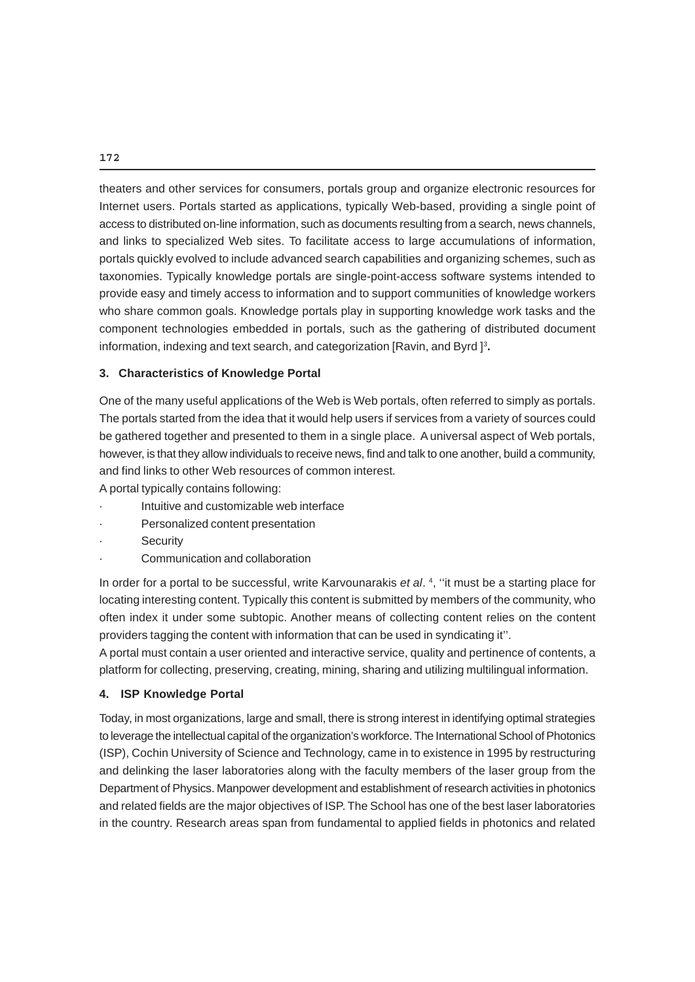theaters and other services for consumers, portals group and organize electronic resources for Internet users. Portals started as applications, typically Web-based, providing a single point of access to distributed on-line information, such as documents resulting from a search, news channels, and links to specialized Web sites. To facilitate access to large accumulations of information, portals quickly evolved to include advanced search capabilities and organizing schemes, such as taxonomies. Typically knowledge portals are single-point-access software systems intended to provide easy and timely access to information and to support communities of knowledge workers who share common goals. Knowledge portals play in supporting knowledge work tasks and the component technologies embedded in portals, such as the gathering of distributed document information, indexing and text search, and categorization [Ravin, and Byrd]<sup>3</sup>.

#### **3. Characteristics of Knowledge Portal**

One of the many useful applications of the Web is Web portals, often referred to simply as portals. The portals started from the idea that it would help users if services from a variety of sources could be gathered together and presented to them in a single place. A universal aspect of Web portals, however, is that they allow individuals to receive news, find and talk to one another, build a community, and find links to other Web resources of common interest*.*

A portal typically contains following:

- · Intuitive and customizable web interface
- Personalized content presentation
- **Security**
- · Communication and collaboration

In order for a portal to be successful, write Karvounarakis *et al*. 4 , ''it must be a starting place for locating interesting content. Typically this content is submitted by members of the community, who often index it under some subtopic. Another means of collecting content relies on the content providers tagging the content with information that can be used in syndicating it''.

A portal must contain a user oriented and interactive service, quality and pertinence of contents, a platform for collecting, preserving, creating, mining, sharing and utilizing multilingual information.

#### **4. ISP Knowledge Portal**

Today, in most organizations, large and small, there is strong interest in identifying optimal strategies to leverage the intellectual capital of the organization's workforce. The International School of Photonics (ISP), Cochin University of Science and Technology, came in to existence in 1995 by restructuring and delinking the laser laboratories along with the faculty members of the laser group from the Department of Physics. Manpower development and establishment of research activities in photonics and related fields are the major objectives of ISP. The School has one of the best laser laboratories in the country. Research areas span from fundamental to applied fields in photonics and related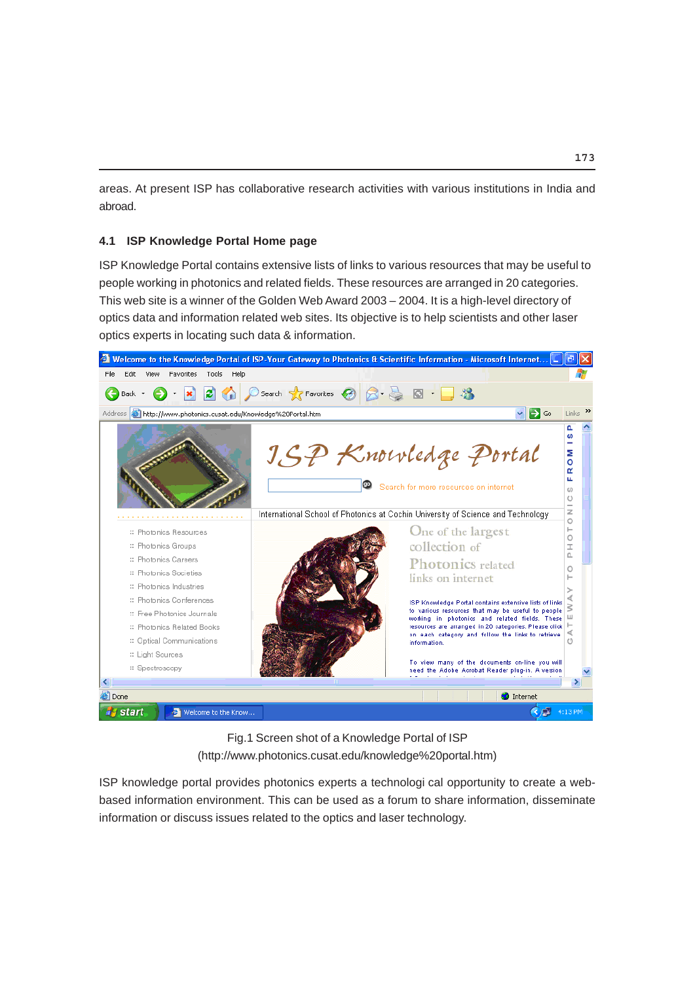areas. At present ISP has collaborative research activities with various institutions in India and abroad.

#### **4.1 ISP Knowledge Portal Home page**

ISP Knowledge Portal contains extensive lists of links to various resources that may be useful to people working in photonics and related fields. These resources are arranged in 20 categories. This web site is a winner of the Golden Web Award 2003 – 2004. It is a high-level directory of optics data and information related web sites. Its objective is to help scientists and other laser optics experts in locating such data & information.



Fig.1 Screen shot of a Knowledge Portal of ISP (http://www.photonics.cusat.edu/knowledge%20portal.htm)

ISP knowledge portal provides photonics experts a technologi cal opportunity to create a webbased information environment. This can be used as a forum to share information, disseminate information or discuss issues related to the optics and laser technology.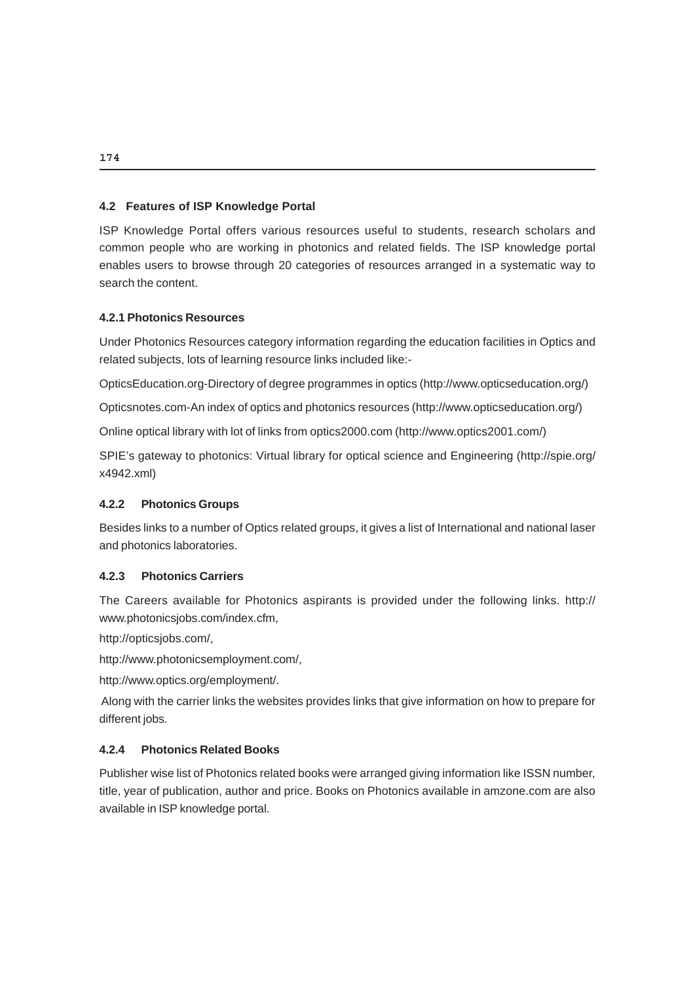### **4.2 Features of ISP Knowledge Portal**

ISP Knowledge Portal offers various resources useful to students, research scholars and common people who are working in photonics and related fields. The ISP knowledge portal enables users to browse through 20 categories of resources arranged in a systematic way to search the content.

### **4.2.1 Photonics Resources**

Under Photonics Resources category information regarding the education facilities in Optics and related subjects, lots of learning resource links included like:-

OpticsEducation.org-Directory of degree programmes in optics (http://www.opticseducation.org/)

Opticsnotes.com-An index of optics and photonics resources (http://www.opticseducation.org/)

Online optical library with lot of links from optics2000.com (http://www.optics2001.com/)

SPIE's gateway to photonics: Virtual library for optical science and Engineering (http://spie.org/ x4942.xml)

## **4.2.2 Photonics Groups**

Besides links to a number of Optics related groups, it gives a list of International and national laser and photonics laboratories.

### **4.2.3 Photonics Carriers**

The Careers available for Photonics aspirants is provided under the following links. http:// www.photonicsjobs.com/index.cfm,

http://opticsjobs.com/,

http://www.photonicsemployment.com/,

http://www.optics.org/employment/.

 Along with the carrier links the websites provides links that give information on how to prepare for different jobs.

## **4.2.4 Photonics Related Books**

Publisher wise list of Photonics related books were arranged giving information like ISSN number, title, year of publication, author and price. Books on Photonics available in amzone.com are also available in ISP knowledge portal.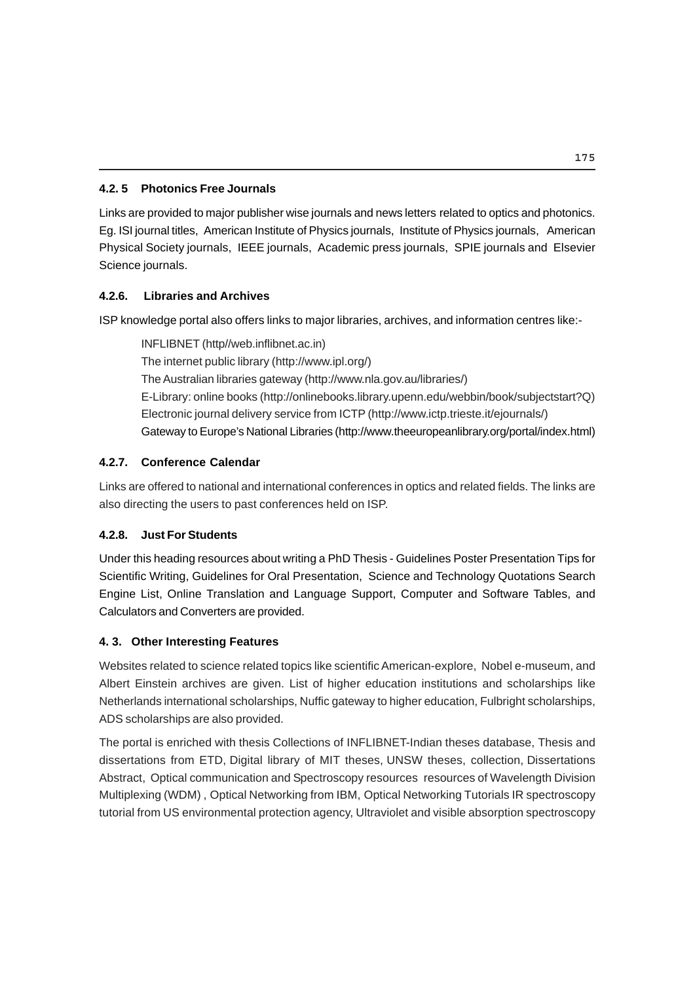### **4.2. 5 Photonics Free Journals**

Links are provided to major publisher wise journals and news letters related to optics and photonics. Eg. ISI journal titles, American Institute of Physics journals, Institute of Physics journals, American Physical Society journals, IEEE journals, Academic press journals, SPIE journals and Elsevier Science journals.

## **4.2.6. Libraries and Archives**

ISP knowledge portal also offers links to major libraries, archives, and information centres like:-

 INFLIBNET (http//web.inflibnet.ac.in) The internet public library (http://www.ipl.org/) The Australian libraries gateway (http://www.nla.gov.au/libraries/) E-Library: online books (http://onlinebooks.library.upenn.edu/webbin/book/subjectstart?Q) Electronic journal delivery service from ICTP (http://www.ictp.trieste.it/ejournals/) Gateway to Europe's National Libraries (http://www.theeuropeanlibrary.org/portal/index.html)

## **4.2.7. Conference Calendar**

Links are offered to national and international conferences in optics and related fields. The links are also directing the users to past conferences held on ISP.

## **4.2.8. Just For Students**

Under this heading resources about writing a PhD Thesis - Guidelines Poster Presentation Tips for Scientific Writing, Guidelines for Oral Presentation, Science and Technology Quotations Search Engine List, Online Translation and Language Support, Computer and Software Tables, and Calculators and Converters are provided.

## **4. 3. Other Interesting Features**

Websites related to science related topics like scientific American-explore, Nobel e-museum, and Albert Einstein archives are given. List of higher education institutions and scholarships like Netherlands international scholarships, Nuffic gateway to higher education, Fulbright scholarships, ADS scholarships are also provided.

The portal is enriched with thesis Collections of INFLIBNET-Indian theses database, Thesis and dissertations from ETD, Digital library of MIT theses, UNSW theses, collection, Dissertations Abstract, Optical communication and Spectroscopy resources resources of Wavelength Division Multiplexing (WDM) , Optical Networking from IBM, Optical Networking Tutorials IR spectroscopy tutorial from US environmental protection agency, Ultraviolet and visible absorption spectroscopy